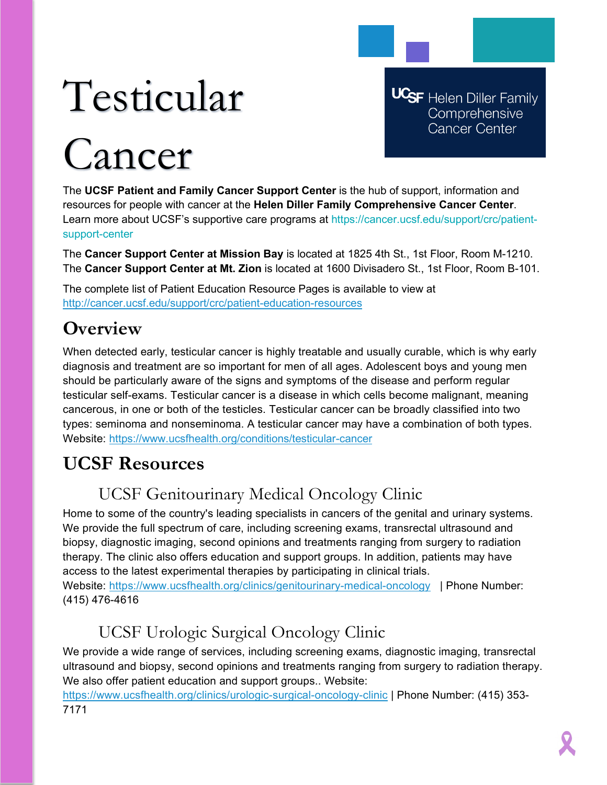## Testicular

**UCSF** Helen Diller Family Comprehensive **Cancer Center** 

# Cancer

The **UCSF Patient and Family Cancer Support Center** is the hub of support, information and resources for people with cancer at the **Helen Diller Family Comprehensive Cancer Center**. Learn more about UCSF's supportive care programs at https://cancer.ucsf.edu/support/crc/patientsupport-center

The **Cancer Support Center at Mission Bay** is located at 1825 4th St., 1st Floor, Room M-1210. The **Cancer Support Center at Mt. Zion** is located at 1600 Divisadero St., 1st Floor, Room B-101.

The complete list of Patient Education Resource Pages is available to view at <http://cancer.ucsf.edu/support/crc/patient-education-resources>

## **Overview**

When detected early, testicular cancer is highly treatable and usually curable, which is why early diagnosis and treatment are so important for men of all ages. Adolescent boys and young men should be particularly aware of the signs and symptoms of the disease and perform regular testicular self-exams. Testicular cancer is a disease in which cells become malignant, meaning cancerous, in one or both of the testicles. Testicular cancer can be broadly classified into two types: seminoma and nonseminoma. A testicular cancer may have a combination of both types. Website:<https://www.ucsfhealth.org/conditions/testicular-cancer>

## **UCSF Resources**

### UCSF Genitourinary Medical Oncology Clinic

Home to some of the country's leading specialists in cancers of the genital and urinary systems. We provide the full spectrum of care, including screening exams, transrectal ultrasound and biopsy, diagnostic imaging, second opinions and treatments ranging from surgery to radiation therapy. The clinic also offers education and support groups. In addition, patients may have access to the latest experimental therapies by participating in clinical trials. Website:<https://www.ucsfhealth.org/clinics/genitourinary-medical-oncology>| Phone Number: (415) 476-4616

## UCSF Urologic Surgical Oncology Clinic

We provide a wide range of services, including screening exams, diagnostic imaging, transrectal ultrasound and biopsy, second opinions and treatments ranging from surgery to radiation therapy. We also offer patient education and support groups.. Website:

<https://www.ucsfhealth.org/clinics/urologic-surgical-oncology-clinic> | Phone Number: (415) 353- 7171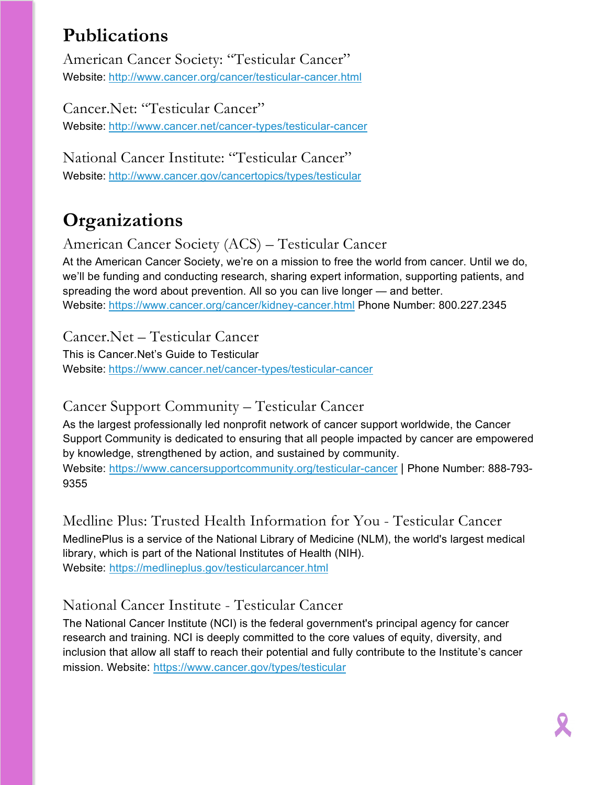## **Publications**

American Cancer Society: "Testicular Cancer" Website: <http://www.cancer.org/cancer/testicular-cancer.html>

Cancer.Net: "Testicular Cancer" Website: <http://www.cancer.net/cancer-types/testicular-cancer>

National Cancer Institute: "Testicular Cancer" Website: <http://www.cancer.gov/cancertopics/types/testicular>

## **Organizations**

American Cancer Society (ACS) – Testicular Cancer

At the American Cancer Society, we're on a mission to free the world from cancer. Until we do, we'll be funding and conducting research, sharing expert information, supporting patients, and spreading the word about prevention. All so you can live longer — and better. Website: <https://www.cancer.org/cancer/kidney-cancer.html> Phone Number: 800.227.2345

Cancer.Net – Testicular Cancer

This is Cancer.Net's Guide to Testicular Website: <https://www.cancer.net/cancer-types/testicular-cancer>

#### Cancer Support Community – Testicular Cancer

As the largest professionally led nonprofit network of cancer support worldwide, the Cancer Support Community is dedicated to ensuring that all people impacted by cancer are empowered by knowledge, strengthened by action, and sustained by community.

Website:<https://www.cancersupportcommunity.org/testicular-cancer> | Phone Number: 888-793-9355

Medline Plus: Trusted Health Information for You - Testicular Cancer MedlinePlus is a service of the National Library of Medicine (NLM), the world's largest medical library, which is part of the National Institutes of Health (NIH). Website: <https://medlineplus.gov/testicularcancer.html>

#### National Cancer Institute - Testicular Cancer

The National Cancer Institute (NCI) is the federal government's principal agency for cancer research and training. NCI is deeply committed to the core values of equity, diversity, and inclusion that allow all staff to reach their potential and fully contribute to the Institute's cancer mission. Website:<https://www.cancer.gov/types/testicular>